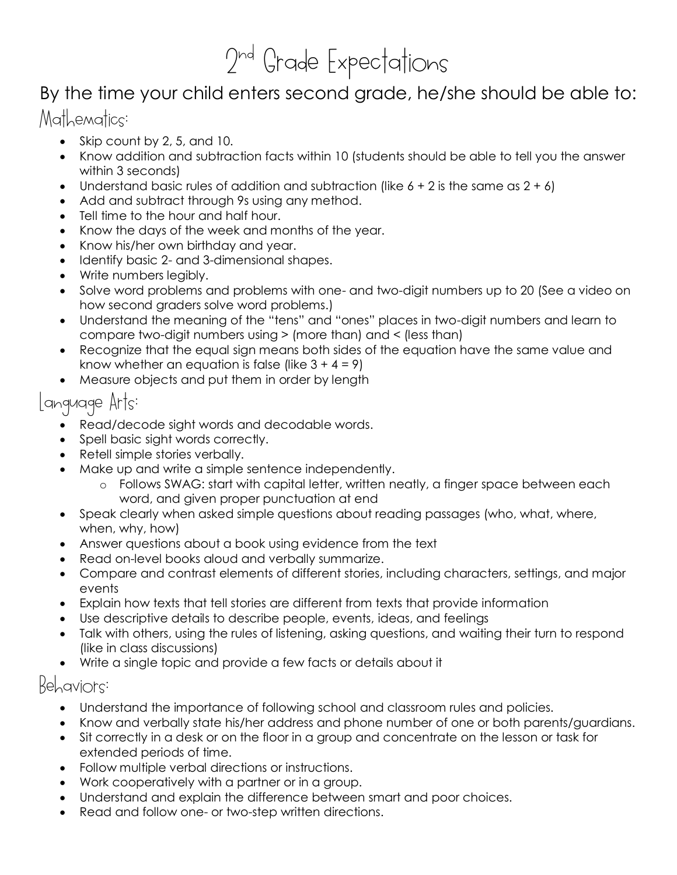# 2 nd Grade Expectations

### By the time your child enters second grade, he/she should be able to:

#### Mathematics:

- $\bullet$  Skip count by 2, 5, and 10.
- Know addition and subtraction facts within 10 (students should be able to tell you the answer within 3 seconds)
- Understand basic rules of addition and subtraction (like  $6 + 2$  is the same as  $2 + 6$ )
- Add and subtract through 9s using any method.
- Tell time to the hour and half hour.
- Know the days of the week and months of the year.
- Know his/her own birthday and year.
- Identify basic 2- and 3-dimensional shapes.
- Write numbers legibly.
- Solve word problems and problems with one- and two-digit numbers up to 20 (See a video on how second graders solve word problems.)
- Understand the meaning of the "tens" and "ones" places in two-digit numbers and learn to compare two-digit numbers using > (more than) and < (less than)
- Recognize that the equal sign means both sides of the equation have the same value and know whether an equation is false (like  $3 + 4 = 9$ )
- Measure objects and put them in order by length

#### Language Arts:

- Read/decode sight words and decodable words.
- Spell basic sight words correctly.
- Retell simple stories verbally.
- Make up and write a simple sentence independently.
	- o Follows SWAG: start with capital letter, written neatly, a finger space between each word, and given proper punctuation at end
- Speak clearly when asked simple questions about reading passages (who, what, where, when, why, how)
- Answer questions about a book using evidence from the text
- Read on-level books aloud and verbally summarize.
- Compare and contrast elements of different stories, including characters, settings, and major events
- Explain how texts that tell stories are different from texts that provide information
- Use descriptive details to describe people, events, ideas, and feelings
- Talk with others, using the rules of listening, asking questions, and waiting their turn to respond (like in class discussions)
- Write a single topic and provide a few facts or details about it

#### Behaviors:

- Understand the importance of following school and classroom rules and policies.
- Know and verbally state his/her address and phone number of one or both parents/guardians.
- Sit correctly in a desk or on the floor in a group and concentrate on the lesson or task for extended periods of time.
- Follow multiple verbal directions or instructions.
- Work cooperatively with a partner or in a group.
- Understand and explain the difference between smart and poor choices.
- Read and follow one- or two-step written directions.